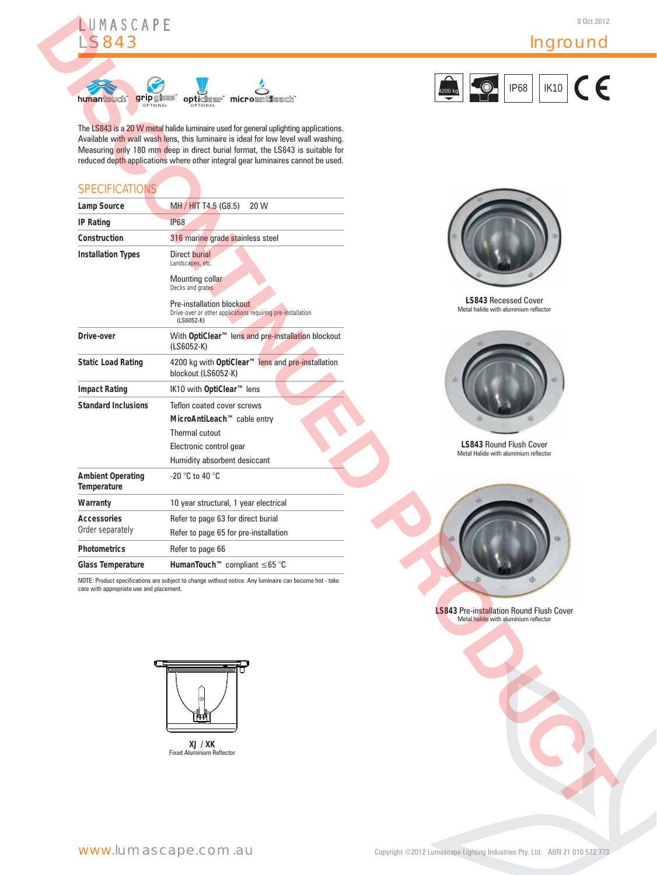





# **SPECIFICATIONS**

| <b>S843</b>                              |                                                                                                                                                                                                                                                                                                                                                | Inground                                                                                 |
|------------------------------------------|------------------------------------------------------------------------------------------------------------------------------------------------------------------------------------------------------------------------------------------------------------------------------------------------------------------------------------------------|------------------------------------------------------------------------------------------|
|                                          |                                                                                                                                                                                                                                                                                                                                                | <b>IP68</b><br><b>IK10</b>                                                               |
| gripglass<br>hunantouch<br>OPTIONAL      | microantlleach<br>opticlear <sup>®</sup><br>OPTIONAL                                                                                                                                                                                                                                                                                           | 4200 kg                                                                                  |
|                                          | The LS843 is a 20 W metal halide luminaire used for general uplighting applications.<br>Available with wall wash lens, this luminaire is ideal for low level wall washing.<br>Measuring only 180 mm deep in direct burial format, the LS843 is suitable for<br>reduced depth applications where other integral gear luminaires cannot be used. |                                                                                          |
| <b>SPECIFICATIONS</b>                    |                                                                                                                                                                                                                                                                                                                                                |                                                                                          |
| Lamp Source                              | MH / HIT T4.5 (G8.5)<br>20 W                                                                                                                                                                                                                                                                                                                   |                                                                                          |
| <b>IP Rating</b>                         | <b>IP68</b>                                                                                                                                                                                                                                                                                                                                    |                                                                                          |
| Construction                             | 316 marine grade stainless steel                                                                                                                                                                                                                                                                                                               |                                                                                          |
| <b>Installation Types</b>                | Direct burial<br>Landscapes, etc.                                                                                                                                                                                                                                                                                                              |                                                                                          |
|                                          | Mounting collar<br>Decks and grates                                                                                                                                                                                                                                                                                                            |                                                                                          |
|                                          | Pre-installation blockout<br>Drive-over or other applications requiring pre-installation<br>$(LS6052-K)$                                                                                                                                                                                                                                       | <b>LS843 Recessed Cover</b><br>Metal halide with aluminium reflector                     |
| Drive-over                               | With OptiClear <sup>™</sup> lens and pre-installation blockout<br>$(LS6052-K)$                                                                                                                                                                                                                                                                 |                                                                                          |
| <b>Static Load Rating</b>                | 4200 kg with OptiClear™ lens and pre-installation<br>blockout (LS6052-K)                                                                                                                                                                                                                                                                       |                                                                                          |
| <b>Impact Rating</b>                     | IK10 with OptiClear™ lens                                                                                                                                                                                                                                                                                                                      |                                                                                          |
| <b>Standard Inclusions</b>               | Teflon coated cover screws                                                                                                                                                                                                                                                                                                                     |                                                                                          |
|                                          | MicroAntiLeach™ cable entry                                                                                                                                                                                                                                                                                                                    |                                                                                          |
|                                          | Thermal cutout                                                                                                                                                                                                                                                                                                                                 | LS843 Round Flush Cover                                                                  |
|                                          | Electronic control gear<br>Humidity absorbent desiccant                                                                                                                                                                                                                                                                                        | Metal Halide with aluminium reflector                                                    |
| <b>Ambient Operating</b><br>Temperature  | -20 $\degree$ C to 40 $\degree$ C                                                                                                                                                                                                                                                                                                              |                                                                                          |
| Warranty                                 | 10 year structural, 1 year electrical                                                                                                                                                                                                                                                                                                          |                                                                                          |
| <b>Accessories</b>                       | Refer to page 63 for direct burial                                                                                                                                                                                                                                                                                                             |                                                                                          |
| Order separately                         | Refer to page 65 for pre-installation                                                                                                                                                                                                                                                                                                          |                                                                                          |
| <b>Photometrics</b>                      | Refer to page 66                                                                                                                                                                                                                                                                                                                               |                                                                                          |
| <b>Glass Temperature</b>                 | HumanTouch™ compliant ≤65 °C                                                                                                                                                                                                                                                                                                                   |                                                                                          |
| care with appropriate use and placement. | NOTE: Product specifications are subject to change without notice. Any luminaire can become hot - take                                                                                                                                                                                                                                         |                                                                                          |
|                                          |                                                                                                                                                                                                                                                                                                                                                |                                                                                          |
|                                          |                                                                                                                                                                                                                                                                                                                                                | <b>LS843 Pre-installation Round Flush Cover</b><br>Metal halide with aluminium reflector |
|                                          |                                                                                                                                                                                                                                                                                                                                                |                                                                                          |
|                                          |                                                                                                                                                                                                                                                                                                                                                |                                                                                          |
|                                          |                                                                                                                                                                                                                                                                                                                                                |                                                                                          |
|                                          |                                                                                                                                                                                                                                                                                                                                                |                                                                                          |
|                                          |                                                                                                                                                                                                                                                                                                                                                |                                                                                          |
|                                          |                                                                                                                                                                                                                                                                                                                                                |                                                                                          |
|                                          |                                                                                                                                                                                                                                                                                                                                                |                                                                                          |
|                                          | XJ / XK<br><b>Fixed Aluminium Reflector</b>                                                                                                                                                                                                                                                                                                    |                                                                                          |
|                                          |                                                                                                                                                                                                                                                                                                                                                |                                                                                          |
|                                          |                                                                                                                                                                                                                                                                                                                                                |                                                                                          |



**LS843** Recessed Cover Metal halide with aluminium reflector



**LS843** Round Flush Cover Metal Halide with aluminium reflector



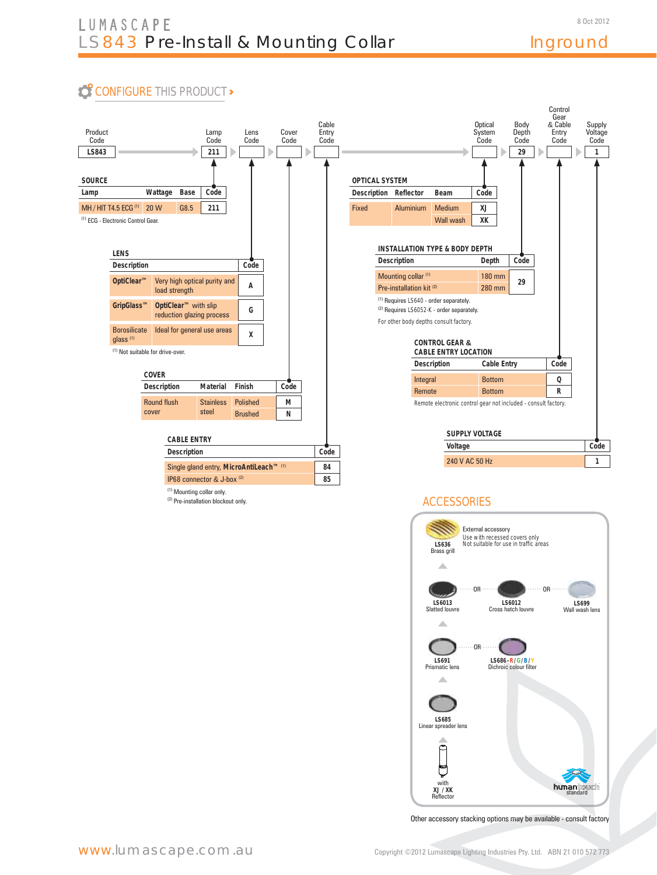# Inground

# **CONFIGURE THIS PRODUCT>**



(2) Pre-installation blockout only.





Other accessory stacking options may be available - consult factory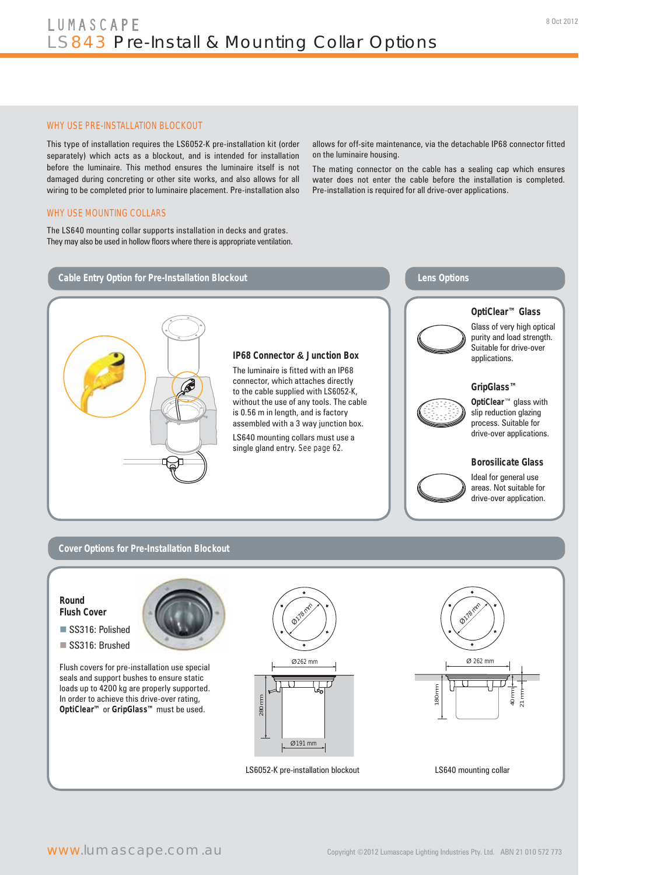#### WHY USE PRE-INSTALLATION BLOCKOUT

This type of installation requires the LS6052-K pre-installation kit (order separately) which acts as a blockout, and is intended for installation before the luminaire. This method ensures the luminaire itself is not damaged during concreting or other site works, and also allows for all wiring to be completed prior to luminaire placement. Pre-installation also

#### WHY USE MOUNTING COLLARS

The LS640 mounting collar supports installation in decks and grates. They may also be used in hollow floors where there is appropriate ventilation. allows for off-site maintenance, via the detachable IP68 connector fitted on the luminaire housing.

The mating connector on the cable has a sealing cap which ensures water does not enter the cable before the installation is completed. Pre-installation is required for all drive-over applications.

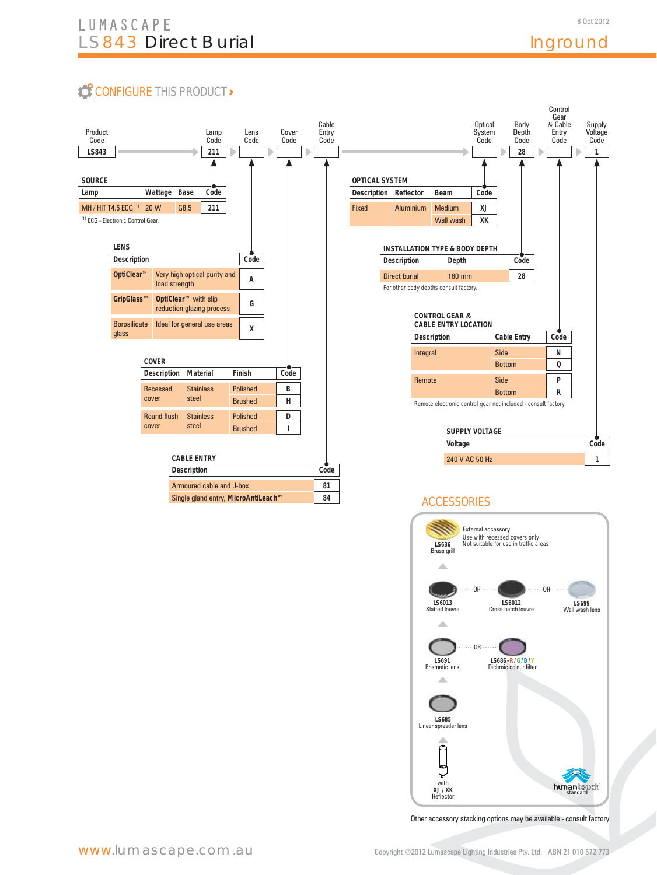8 Oct 2012

# **CONFIGURE THIS PRODUCT>**



### **ACCESSORIES**



Other accessory stacking options may be available - consult factory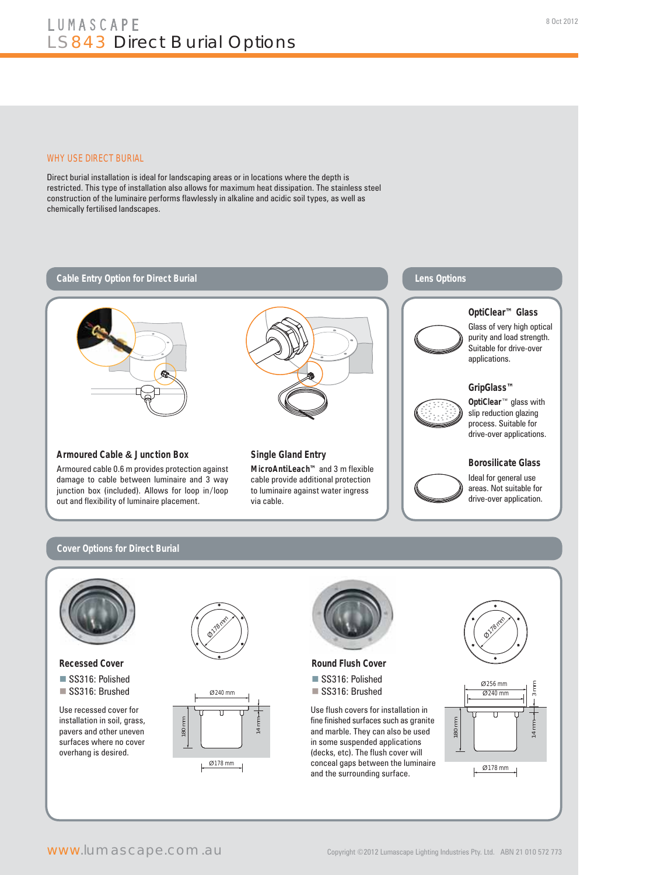#### WHY USE DIRECT BURIAL

Direct burial installation is ideal for landscaping areas or in locations where the depth is restricted. This type of installation also allows for maximum heat dissipation. The stainless steel construction of the luminaire performs flawlessly in alkaline and acidic soil types, as well as chemically fertilised landscapes.



#### **Cover Options for Direct Burial**